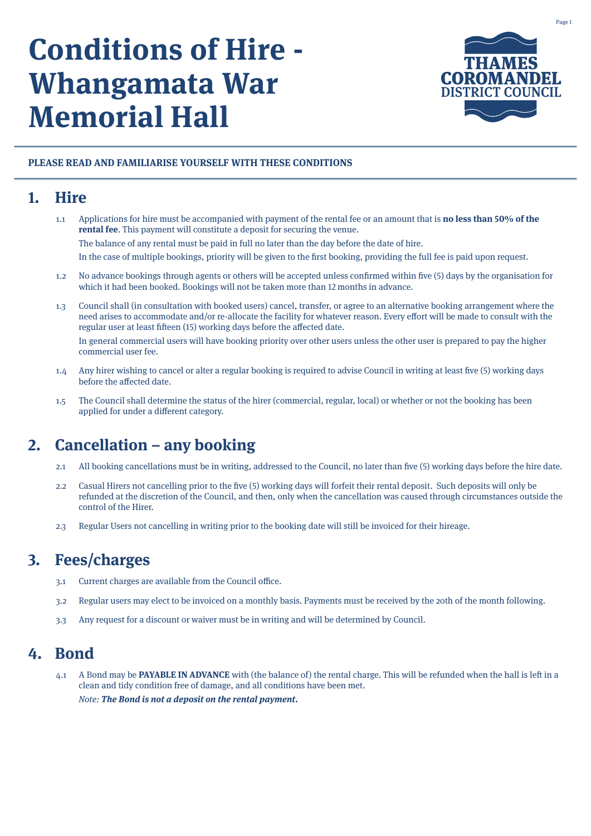# **Conditions of Hire - Whangamata War Memorial Hall**



#### **PLEASE READ AND FAMILIARISE YOURSELF WITH THESE CONDITIONS**

## **1. Hire**

1.1 Applications for hire must be accompanied with payment of the rental fee or an amount that is **no less than 50% of the rental fee**. This payment will constitute a deposit for securing the venue. The balance of any rental must be paid in full no later than the day before the date of hire.

In the case of multiple bookings, priority will be given to the first booking, providing the full fee is paid upon request.

- 1.2 No advance bookings through agents or others will be accepted unless confirmed within five (5) days by the organisation for which it had been booked. Bookings will not be taken more than 12 months in advance.
- 1.3 Council shall (in consultation with booked users) cancel, transfer, or agree to an alternative booking arrangement where the need arises to accommodate and/or re-allocate the facility for whatever reason. Every effort will be made to consult with the regular user at least fifteen (15) working days before the affected date.

In general commercial users will have booking priority over other users unless the other user is prepared to pay the higher commercial user fee.

- 1.4 Any hirer wishing to cancel or alter a regular booking is required to advise Council in writing at least five (5) working days before the affected date.
- 1.5 The Council shall determine the status of the hirer (commercial, regular, local) or whether or not the booking has been applied for under a different category.

# **2. Cancellation – any booking**

- 2.1 All booking cancellations must be in writing, addressed to the Council, no later than five (5) working days before the hire date.
- 2.2 Casual Hirers not cancelling prior to the five (5) working days will forfeit their rental deposit. Such deposits will only be refunded at the discretion of the Council, and then, only when the cancellation was caused through circumstances outside the control of the Hirer.
- 2.3 Regular Users not cancelling in writing prior to the booking date will still be invoiced for their hireage.

## **3. Fees/charges**

- 3.1 Current charges are available from the Council office.
- 3.2 Regular users may elect to be invoiced on a monthly basis. Payments must be received by the 20th of the month following.
- 3.3 Any request for a discount or waiver must be in writing and will be determined by Council.

## **4. Bond**

4.1 A Bond may be **PAYABLE IN ADVANCE** with (the balance of) the rental charge. This will be refunded when the hall is left in a clean and tidy condition free of damage, and all conditions have been met. Note: **The Bond is not a deposit on the rental payment.**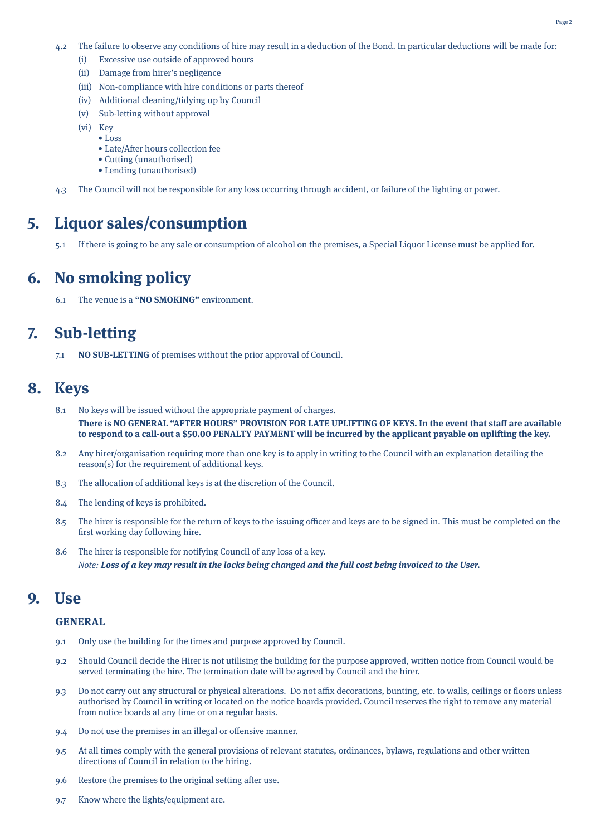- 4.2 The failure to observe any conditions of hire may result in a deduction of the Bond. In particular deductions will be made for:
	- (i) Excessive use outside of approved hours
	- (ii) Damage from hirer's negligence
	- (iii) Non-compliance with hire conditions or parts thereof
	- (iv) Additional cleaning/tidying up by Council
	- (v) Sub-letting without approval
	- (vi) Key
		- Loss
			- Late/After hours collection fee
		- Cutting (unauthorised)
		- Lending (unauthorised)
- 4.3 The Council will not be responsible for any loss occurring through accident, or failure of the lighting or power.

## **5. Liquor sales/consumption**

5.1 If there is going to be any sale or consumption of alcohol on the premises, a Special Liquor License must be applied for.

# **6. No smoking policy**

6.1 The venue is a **"NO SMOKING"** environment.

# **7. Sub-letting**

7.1 **NO SUB-LETTING** of premises without the prior approval of Council.

#### **8. Keys**

- 8.1 No keys will be issued without the appropriate payment of charges. **There is NO GENERAL "AFTER HOURS" PROVISION FOR LATE UPLIFTING OF KEYS. In the event that staff are available to respond to a call-out a \$50.00 PENALTY PAYMENT will be incurred by the applicant payable on uplifting the key.**
- 8.2 Any hirer/organisation requiring more than one key is to apply in writing to the Council with an explanation detailing the reason(s) for the requirement of additional keys.
- 8.3 The allocation of additional keys is at the discretion of the Council.
- 8.4 The lending of keys is prohibited.
- 8.5 The hirer is responsible for the return of keys to the issuing officer and keys are to be signed in. This must be completed on the first working day following hire.
- 8.6 The hirer is responsible for notifying Council of any loss of a key. Note: **Loss of a key may result in the locks being changed and the full cost being invoiced to the User.**

#### **9. Use**

#### **GENERAL**

- 9.1 Only use the building for the times and purpose approved by Council.
- 9.2 Should Council decide the Hirer is not utilising the building for the purpose approved, written notice from Council would be served terminating the hire. The termination date will be agreed by Council and the hirer.
- 9.3 Do not carry out any structural or physical alterations. Do not affix decorations, bunting, etc. to walls, ceilings or floors unless authorised by Council in writing or located on the notice boards provided. Council reserves the right to remove any material from notice boards at any time or on a regular basis.
- 9.4 Do not use the premises in an illegal or offensive manner.
- 9.5 At all times comply with the general provisions of relevant statutes, ordinances, bylaws, regulations and other written directions of Council in relation to the hiring.
- 9.6 Restore the premises to the original setting after use.
- 9.7 Know where the lights/equipment are.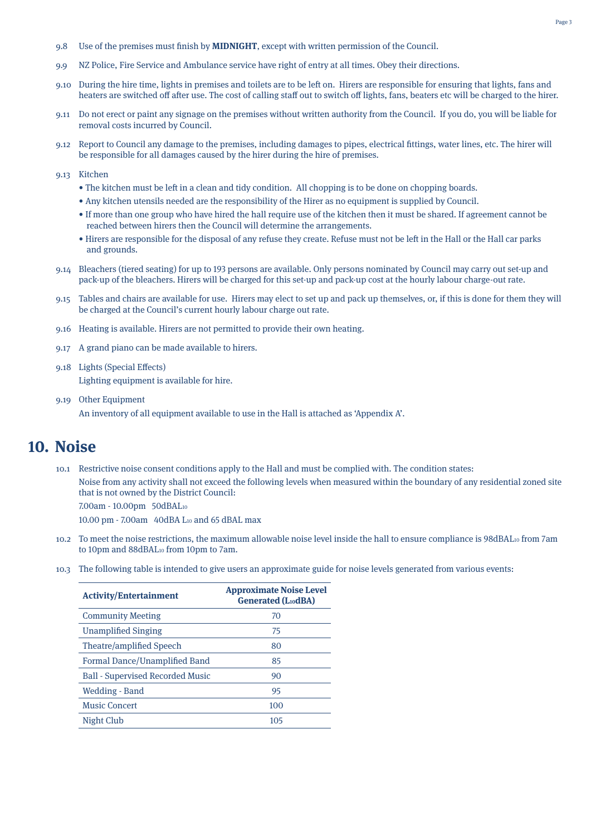- 9.8 Use of the premises must finish by **MIDNIGHT**, except with written permission of the Council.
- 9.9 NZ Police, Fire Service and Ambulance service have right of entry at all times. Obey their directions.
- 9.10 During the hire time, lights in premises and toilets are to be left on. Hirers are responsible for ensuring that lights, fans and heaters are switched off after use. The cost of calling staff out to switch off lights, fans, beaters etc will be charged to the hirer.
- 9.11 Do not erect or paint any signage on the premises without written authority from the Council. If you do, you will be liable for removal costs incurred by Council.
- 9.12 Report to Council any damage to the premises, including damages to pipes, electrical fittings, water lines, etc. The hirer will be responsible for all damages caused by the hirer during the hire of premises.
- 9.13 Kitchen
	- The kitchen must be left in a clean and tidy condition. All chopping is to be done on chopping boards.
	- Any kitchen utensils needed are the responsibility of the Hirer as no equipment is supplied by Council.
	- If more than one group who have hired the hall require use of the kitchen then it must be shared. If agreement cannot be reached between hirers then the Council will determine the arrangements.
	- Hirers are responsible for the disposal of any refuse they create. Refuse must not be left in the Hall or the Hall car parks and grounds.
- 9.14 Bleachers (tiered seating) for up to 193 persons are available. Only persons nominated by Council may carry out set-up and pack-up of the bleachers. Hirers will be charged for this set-up and pack-up cost at the hourly labour charge-out rate.
- 9.15 Tables and chairs are available for use. Hirers may elect to set up and pack up themselves, or, if this is done for them they will be charged at the Council's current hourly labour charge out rate.
- 9.16 Heating is available. Hirers are not permitted to provide their own heating.
- 9.17 A grand piano can be made available to hirers.
- 9.18 Lights (Special Effects) Lighting equipment is available for hire.
- 9.19 Other Equipment An inventory of all equipment available to use in the Hall is attached as 'Appendix A'.

#### **10. Noise**

- 10.1 Restrictive noise consent conditions apply to the Hall and must be complied with. The condition states:
	- Noise from any activity shall not exceed the following levels when measured within the boundary of any residential zoned site that is not owned by the District Council:

7.00am - 10.00pm 50dBAL10

10.00 pm - 7.00am 40dBA L10 and 65 dBAL max

- 10.2 To meet the noise restrictions, the maximum allowable noise level inside the hall to ensure compliance is 98dBAL<sub>10</sub> from 7am to 10pm and 88dBAL10 from 10pm to 7am.
- 10.3 The following table is intended to give users an approximate guide for noise levels generated from various events:

| <b>Activity/Entertainment</b>           | <b>Approximate Noise Level</b><br><b>Generated (L10dBA)</b> |
|-----------------------------------------|-------------------------------------------------------------|
| <b>Community Meeting</b>                | 70                                                          |
| <b>Unamplified Singing</b>              | 75                                                          |
| Theatre/amplified Speech                | 80                                                          |
| Formal Dance/Unamplified Band           | 85                                                          |
| <b>Ball - Supervised Recorded Music</b> | 90                                                          |
| Wedding - Band                          | 95                                                          |
| <b>Music Concert</b>                    | 100                                                         |
| Night Club                              | 105                                                         |
|                                         |                                                             |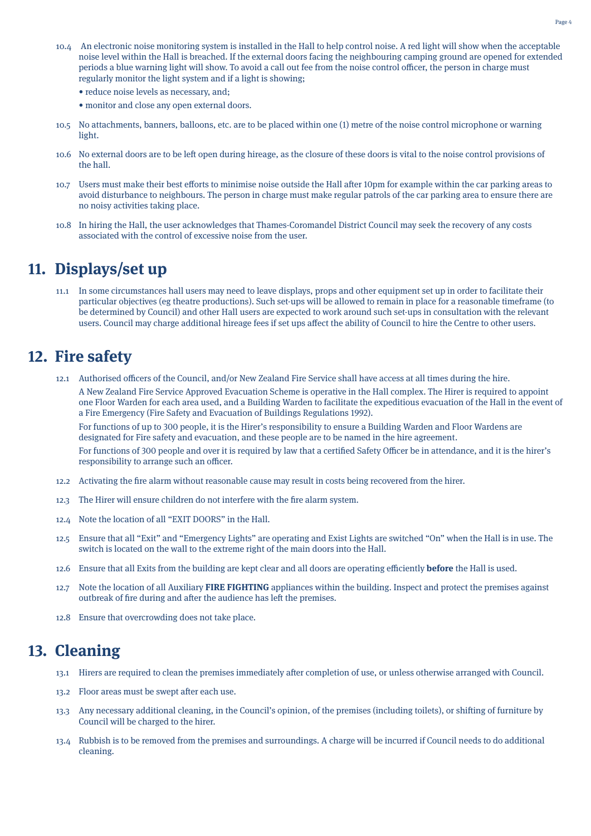- 10.4 An electronic noise monitoring system is installed in the Hall to help control noise. A red light will show when the acceptable noise level within the Hall is breached. If the external doors facing the neighbouring camping ground are opened for extended periods a blue warning light will show. To avoid a call out fee from the noise control officer, the person in charge must regularly monitor the light system and if a light is showing;
	- reduce noise levels as necessary, and;
	- monitor and close any open external doors.
- 10.5 No attachments, banners, balloons, etc. are to be placed within one (1) metre of the noise control microphone or warning light.
- 10.6 No external doors are to be left open during hireage, as the closure of these doors is vital to the noise control provisions of the hall.
- 10.7 Users must make their best efforts to minimise noise outside the Hall after 10pm for example within the car parking areas to avoid disturbance to neighbours. The person in charge must make regular patrols of the car parking area to ensure there are no noisy activities taking place.
- 10.8 In hiring the Hall, the user acknowledges that Thames-Coromandel District Council may seek the recovery of any costs associated with the control of excessive noise from the user.

## **11. Displays/set up**

11.1 In some circumstances hall users may need to leave displays, props and other equipment set up in order to facilitate their particular objectives (eg theatre productions). Such set-ups will be allowed to remain in place for a reasonable timeframe (to be determined by Council) and other Hall users are expected to work around such set-ups in consultation with the relevant users. Council may charge additional hireage fees if set ups affect the ability of Council to hire the Centre to other users.

## **12. Fire safety**

12.1 Authorised officers of the Council, and/or New Zealand Fire Service shall have access at all times during the hire.

A New Zealand Fire Service Approved Evacuation Scheme is operative in the Hall complex. The Hirer is required to appoint one Floor Warden for each area used, and a Building Warden to facilitate the expeditious evacuation of the Hall in the event of a Fire Emergency (Fire Safety and Evacuation of Buildings Regulations 1992).

For functions of up to 300 people, it is the Hirer's responsibility to ensure a Building Warden and Floor Wardens are designated for Fire safety and evacuation, and these people are to be named in the hire agreement.

For functions of 300 people and over it is required by law that a certified Safety Officer be in attendance, and it is the hirer's responsibility to arrange such an officer.

- 12.2 Activating the fire alarm without reasonable cause may result in costs being recovered from the hirer.
- 12.3 The Hirer will ensure children do not interfere with the fire alarm system.
- 12.4 Note the location of all "EXIT DOORS" in the Hall.
- 12.5 Ensure that all "Exit" and "Emergency Lights" are operating and Exist Lights are switched "On" when the Hall is in use. The switch is located on the wall to the extreme right of the main doors into the Hall.
- 12.6 Ensure that all Exits from the building are kept clear and all doors are operating efficiently **before** the Hall is used.
- 12.7 Note the location of all Auxiliary **FIRE FIGHTING** appliances within the building. Inspect and protect the premises against outbreak of fire during and after the audience has left the premises.
- 12.8 Ensure that overcrowding does not take place.

## **13. Cleaning**

- 13.1 Hirers are required to clean the premises immediately after completion of use, or unless otherwise arranged with Council.
- 13.2 Floor areas must be swept after each use.
- 13.3 Any necessary additional cleaning, in the Council's opinion, of the premises (including toilets), or shifting of furniture by Council will be charged to the hirer.
- 13.4 Rubbish is to be removed from the premises and surroundings. A charge will be incurred if Council needs to do additional cleaning.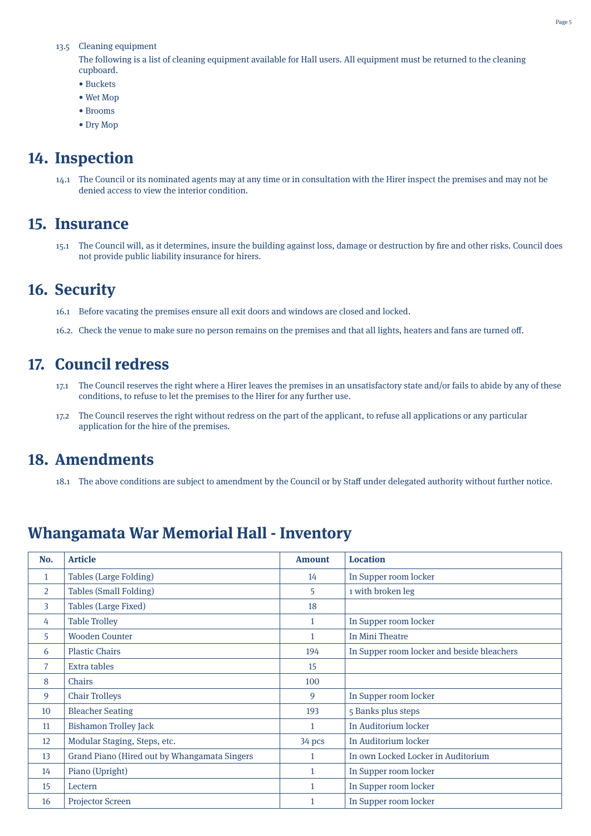#### 13.5 Cleaning equipment

The following is a list of cleaning equipment available for Hall users. All equipment must be returned to the cleaning cupboard.

- Buckets
- Wet Mop
- Brooms
- Dry Mop

## **14. Inspection**

14.1 The Council or its nominated agents may at any time or in consultation with the Hirer inspect the premises and may not be denied access to view the interior condition.

#### **15. Insurance**

15.1 The Council will, as it determines, insure the building against loss, damage or destruction by fire and other risks. Council does not provide public liability insurance for hirers.

## **16. Security**

- 16.1 Before vacating the premises ensure all exit doors and windows are closed and locked.
- 16.2. Check the venue to make sure no person remains on the premises and that all lights, heaters and fans are turned off.

## **17. Council redress**

- 17.1 The Council reserves the right where a Hirer leaves the premises in an unsatisfactory state and/or fails to abide by any of these conditions, to refuse to let the premises to the Hirer for any further use.
- 17.2 The Council reserves the right without redress on the part of the applicant, to refuse all applications or any particular application for the hire of the premises.

## **18. Amendments**

18.1 The above conditions are subject to amendment by the Council or by Staff under delegated authority without further notice.

## **Whangamata War Memorial Hall - Inventory**

| No.            | <b>Article</b>                               | <b>Amount</b> | <b>Location</b>                            |
|----------------|----------------------------------------------|---------------|--------------------------------------------|
| $\mathbf{1}$   | <b>Tables (Large Folding)</b>                | 14            | In Supper room locker                      |
| $\overline{2}$ | <b>Tables (Small Folding)</b>                | 5             | 1 with broken leg                          |
| 3              | <b>Tables (Large Fixed)</b>                  | 18            |                                            |
| 4              | <b>Table Trolley</b>                         | 1             | In Supper room locker                      |
| 5.             | <b>Wooden Counter</b>                        | $\mathbf{1}$  | In Mini Theatre                            |
| 6              | <b>Plastic Chairs</b>                        | 194           | In Supper room locker and beside bleachers |
| 7              | Extra tables                                 | 15            |                                            |
| 8              | Chairs                                       | 100           |                                            |
| 9              | <b>Chair Trolleys</b>                        | 9             | In Supper room locker                      |
| 10             | <b>Bleacher Seating</b>                      | 193           | 5 Banks plus steps                         |
| 11             | <b>Bishamon Trolley Jack</b>                 | $\mathbf{1}$  | In Auditorium locker                       |
| 12             | Modular Staging, Steps, etc.                 | 34 pcs        | In Auditorium locker                       |
| 13             | Grand Piano (Hired out by Whangamata Singers | $\mathbf{1}$  | In own Locked Locker in Auditorium         |
| 14             | Piano (Upright)                              | $\mathbf{1}$  | In Supper room locker                      |
| 15             | Lectern                                      | $\mathbf{1}$  | In Supper room locker                      |
| 16             | <b>Projector Screen</b>                      |               | In Supper room locker                      |